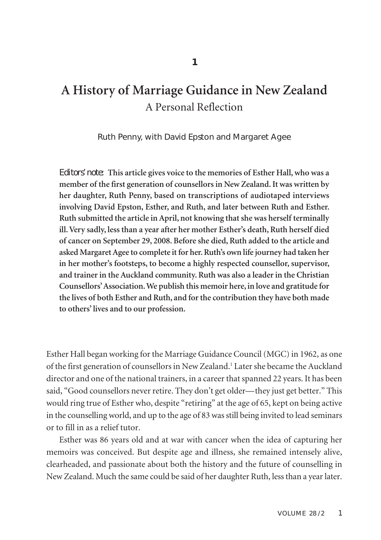# **A History of Marriage Guidance in New Zealand** A Personal Reflection

#### Ruth Penny, with David Epston and Margaret Agee

*Editors' note:* **This article gives voice to the memories of Esther Hall,who was a member of the first generation of counsellorsin New Zealand.It was written by her daughter, Ruth Penny, based on transcriptions of audiotaped interviews involving David Epston, Esther, and Ruth, and later between Ruth and Esther. Ruth submitted the article inApril, not knowing thatshe was herself terminally ill.Very sadly, less than a year after her mother Esther's death, Ruth herself died of cancer on September 29, 2008. Before she died, Ruth added to the article and asked MargaretAgee to complete it for her.Ruth's own life journey had taken her in her mother's footsteps, to become a highly respected counsellor, supervisor, and trainerin the Auckland community. Ruth was also a leaderin the Christian Counsellors'Association.We publish this memoir here, in love and gratitude for the lives of both Esther and Ruth, and forthe contribution they have both made to others' lives and to our profession.**

Esther Hall began working for the Marriage Guidance Council (MGC) in 1962, as one of the first generation of counsellors in New Zealand. <sup>1</sup> Latershe became the Auckland director and one of the national trainers, in a career that spanned 22 years. It has been said, "Good counsellors never retire. They don't get older—they just get better." This would ring true of Esther who, despite "retiring" at the age of 65, kept on being active in the counselling world, and up to the age of 83 wasstill being invited to lead seminars or to fill in as a relief tutor.

Esther was 86 years old and at war with cancer when the idea of capturing her memoirs was conceived. But despite age and illness, she remained intensely alive, clearheaded, and passionate about both the history and the future of counselling in New Zealand. Much the same could be said of her daughter Ruth, lessthan a yearlater.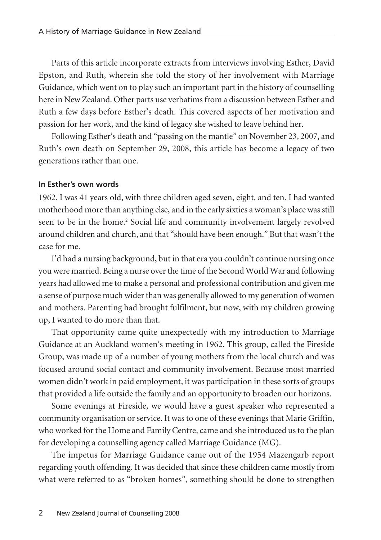Parts of this article incorporate extracts from interviews involving Esther, David Epston, and Ruth, wherein she told the story of her involvement with Marriage Guidance, which went on to play such an important part in the history of counselling here in New Zealand. Other parts use verbatims from a discussion between Esther and Ruth a few days before Esther's death. This covered aspects of her motivation and passion for her work, and the kind of legacy she wished to leave behind her.

Following Esther's death and "passing on the mantle" on November 23, 2007, and Ruth's own death on September 29, 2008, this article has become a legacy of two generations rather than one.

#### **In Esther's own words**

1962. I was 41 years old, with three children aged seven, eight, and ten. I had wanted motherhood more than anything else, and in the early sixties a woman's place was still seen to be in the home. <sup>2</sup> Social life and community involvement largely revolved around children and church, and that "should have been enough." But that wasn't the case for me.

I'd had a nursing background, but in that era you couldn't continue nursing once you were married. Being a nurse overthe time of the Second World War and following years had allowed me to make a personal and professional contribution and given me a sense of purpose much wider than was generally allowed to my generation of women and mothers. Parenting had brought fulfilment, but now, with my children growing up, I wanted to do more than that.

That opportunity came quite unexpectedly with my introduction to Marriage Guidance at an Auckland women's meeting in 1962. This group, called the Fireside Group, was made up of a number of young mothers from the local church and was focused around social contact and community involvement. Because most married women didn't work in paid employment, it was participation in these sorts of groups that provided a life outside the family and an opportunity to broaden our horizons.

Some evenings at Fireside, we would have a guest speaker who represented a community organisation or service. It was to one of these evenings that Marie Griffin, who worked for the Home and Family Centre, came and she introduced us to the plan for developing a counselling agency called Marriage Guidance (MG).

The impetus for Marriage Guidance came out of the 1954 Mazengarb report regarding youth offending. It was decided that since these children came mostly from what were referred to as "broken homes", something should be done to strengthen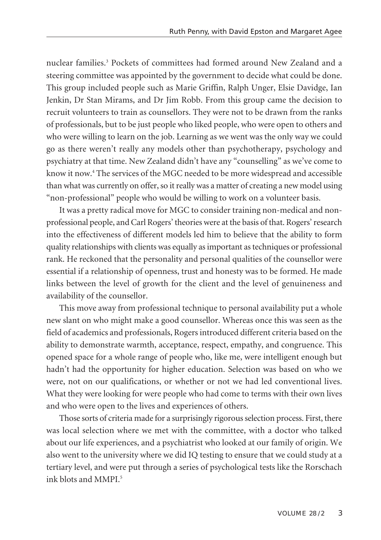nuclear families. <sup>3</sup> Pockets of committees had formed around New Zealand and a steering committee was appointed by the government to decide what could be done. This group included people such as Marie Griffin, Ralph Unger, Elsie Davidge, Ian Jenkin, Dr Stan Mirams, and Dr Jim Robb. From this group came the decision to recruit volunteers to train as counsellors. They were not to be drawn from the ranks of professionals, but to be just people who liked people, who were open to others and who were willing to learn on the job. Learning as we went was the only way we could go as there weren't really any models other than psychotherapy, psychology and psychiatry at that time. New Zealand didn't have any "counselling" as we've come to know it now. <sup>4</sup> The services of the MGC needed to be more widespread and accessible than what was currently on offer, so it really was a matter of creating a new model using "non-professional" people who would be willing to work on a volunteer basis.

It was a pretty radical move for MGC to consider training non-medical and nonprofessional people, and Carl Rogers' theories were at the basis of that. Rogers'research into the effectiveness of different models led him to believe that the ability to form quality relationships with clients was equally asimportant astechniques or professional rank. He reckoned that the personality and personal qualities of the counsellor were essential if a relationship of openness, trust and honesty was to be formed. He made links between the level of growth for the client and the level of genuineness and availability of the counsellor.

This move away from professional technique to personal availability put a whole new slant on who might make a good counsellor. Whereas once this was seen as the field of academics and professionals, Rogers introduced different criteria based on the ability to demonstrate warmth, acceptance, respect, empathy, and congruence. This opened space for a whole range of people who, like me, were intelligent enough but hadn't had the opportunity for higher education. Selection was based on who we were, not on our qualifications, or whether or not we had led conventional lives. What they were looking for were people who had come to terms with their own lives and who were open to the lives and experiences of others.

Those sorts of criteria made for a surprisingly rigorous selection process. First, there was local selection where we met with the committee, with a doctor who talked about our life experiences, and a psychiatrist who looked at our family of origin. We also went to the university where we did IQ testing to ensure that we could study at a tertiary level, and were put through a series of psychological tests like the Rorschach ink blots and MMPI. 5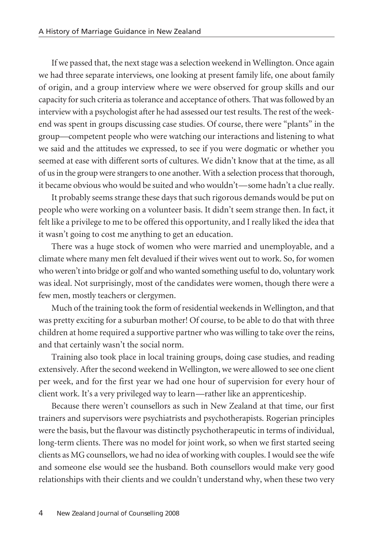If we passed that, the next stage was a selection weekend in Wellington. Once again we had three separate interviews, one looking at present family life, one about family of origin, and a group interview where we were observed for group skills and our capacity for such criteria as tolerance and acceptance of others. That was followed by an interview with a psychologist after he had assessed our test results. The rest of the weekend was spent in groups discussing case studies. Of course, there were "plants" in the group—competent people who were watching our interactions and listening to what we said and the attitudes we expressed, to see if you were dogmatic or whether you seemed at ease with different sorts of cultures. We didn't know that at the time, as all of usin the groupwere strangersto one another. With a selection processthat thorough, it became obvious who would be suited and who wouldn't—some hadn't a clue really.

It probably seems strange these days that such rigorous demands would be put on people who were working on a volunteer basis. It didn't seem strange then. In fact, it felt like a privilege to me to be offered this opportunity, and I really liked the idea that it wasn't going to cost me anything to get an education.

There was a huge stock of women who were married and unemployable, and a climate where many men felt devalued if their wives went out to work. So, for women whoweren't into bridge or golf andwhowanted something useful to do, voluntarywork was ideal. Not surprisingly, most of the candidates were women, though there were a few men, mostly teachers or clergymen.

Much of the training took the form of residential weekends in Wellington, and that was pretty exciting for a suburban mother! Of course, to be able to do that with three children at home required a supportive partner who was willing to take overthe reins, and that certainly wasn't the social norm.

Training also took place in local training groups, doing case studies, and reading extensively. After the second weekend in Wellington, we were allowed to see one client per week, and for the first year we had one hour of supervision for every hour of client work. It's a very privileged way to learn—rather like an apprenticeship.

Because there weren't counsellors as such in New Zealand at that time, our first trainers and supervisors were psychiatrists and psychotherapists. Rogerian principles were the basis, but the flavour was distinctly psychotherapeutic in terms of individual, long-term clients. There was no model for joint work, so when we first started seeing clients as MG counsellors, we had no idea of working with couples. I would see the wife and someone else would see the husband. Both counsellors would make very good relationships with their clients and we couldn't understand why, when these two very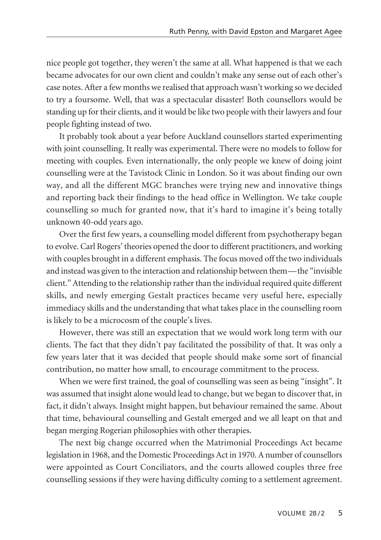nice people got together, they weren't the same at all. What happened is that we each became advocates for our own client and couldn't make any sense out of each other's case notes. After a few months we realised that approach wasn't working so we decided to try a foursome. Well, that was a spectacular disaster! Both counsellors would be standing up for their clients, and it would be like two people with their lawyers and four people fighting instead of two.

It probably took about a year before Auckland counsellors started experimenting with joint counselling. It really was experimental. There were no models to follow for meeting with couples. Even internationally, the only people we knew of doing joint counselling were at the Tavistock Clinic in London. So it was about finding our own way, and all the different MGC branches were trying new and innovative things and reporting back their findings to the head office in Wellington. We take couple counselling so much for granted now, that it's hard to imagine it's being totally unknown 40-odd years ago.

Over the first few years, a counselling model different from psychotherapy began to evolve. Carl Rogers' theories opened the doorto different practitioners, and working with couples brought in a different emphasis. The focus moved off the two individuals and instead was given to the interaction and relationship between them—the "invisible client." Attending to the relationship rather than the individual required quite different skills, and newly emerging Gestalt practices became very useful here, especially immediacy skills and the understanding that what takes place in the counselling room is likely to be a microcosm of the couple's lives.

However, there was still an expectation that we would work long term with our clients. The fact that they didn't pay facilitated the possibility of that. It was only a few years later that it was decided that people should make some sort of financial contribution, no matter how small, to encourage commitment to the process.

When we were first trained, the goal of counselling was seen as being "insight". It was assumed that insight alone would lead to change, but we began to discoverthat, in fact, it didn't always. Insight might happen, but behaviour remained the same. About that time, behavioural counselling and Gestalt emerged and we all leapt on that and began merging Rogerian philosophies with other therapies.

The next big change occurred when the Matrimonial Proceedings Act became legislation in 1968, and the Domestic Proceedings Act in 1970. A number of counsellors were appointed as Court Conciliators, and the courts allowed couples three free counselling sessions if they were having difficulty coming to a settlement agreement.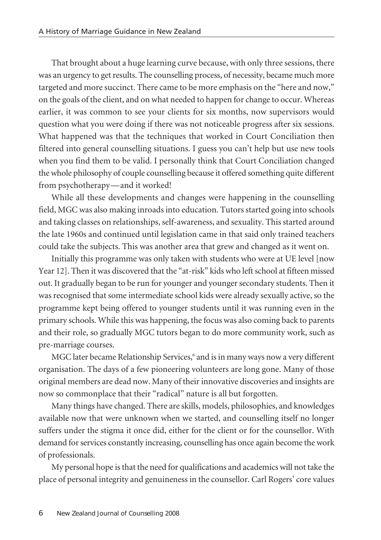That brought about a huge learning curve because, with only three sessions, there was an urgency to get results. The counselling process, of necessity, became much more targeted and more succinct. There came to be more emphasis on the "here and now," on the goals of the client, and on what needed to happen for change to occur. Whereas earlier, it was common to see your clients for six months, now supervisors would question what you were doing if there was not noticeable progress after six sessions. What happened was that the techniques that worked in Court Conciliation then filtered into general counselling situations. I guess you can't help but use new tools when you find them to be valid. I personally think that Court Conciliation changed the whole philosophy of couple counselling because it offered something quite different from psychotherapy—and it worked!

While all these developments and changes were happening in the counselling field, MGC was also making inroads into education. Tutors started going into schools and taking classes on relationships, self-awareness, and sexuality. This started around the late 1960s and continued until legislation came in that said only trained teachers could take the subjects. This was another area that grew and changed as it went on.

Initially this programme was only taken with students who were at UE level [now Year 12]. Then it was discovered that the "at-risk" kids who left school at fifteen missed out. It gradually began to be run for younger and younger secondary students. Then it was recognised that some intermediate school kids were already sexually active, so the programme kept being offered to younger students until it was running even in the primary schools. While this was happening, the focus was also coming back to parents and their role, so gradually MGC tutors began to do more community work, such as pre-marriage courses.

MGC later became Relationship Services, <sup>6</sup> and isin many ways now a very different organisation. The days of a few pioneering volunteers are long gone. Many of those original members are dead now. Many of their innovative discoveries and insights are now so commonplace that their "radical" nature is all but forgotten.

Many things have changed. There are skills, models, philosophies, and knowledges available now that were unknown when we started, and counselling itself no longer suffers under the stigma it once did, either for the client or for the counsellor. With demand forservices constantly increasing, counselling has once again become the work of professionals.

My personal hope isthat the need for qualifications and academics will not take the place of personal integrity and genuineness in the counsellor. Carl Rogers' core values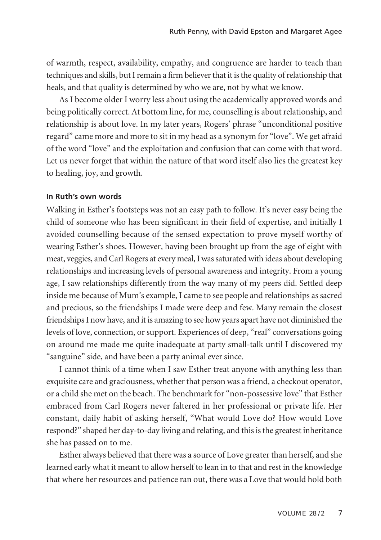of warmth, respect, availability, empathy, and congruence are harder to teach than techniques and skills, but I remain a firm believer that it is the quality of relationship that heals, and that quality is determined by who we are, not by what we know.

As I become older I worry less about using the academically approved words and being politically correct. At bottom line, for me, counselling is about relationship, and relationship is about love. In my later years, Rogers' phrase "unconditional positive regard" came more and more to sit in my head as a synonym for "love". We get afraid of the word "love" and the exploitation and confusion that can come with that word. Let us never forget that within the nature of that word itself also lies the greatest key to healing, joy, and growth.

#### **In Ruth's own words**

Walking in Esther's footsteps was not an easy path to follow. It's never easy being the child of someone who has been significant in their field of expertise, and initially I avoided counselling because of the sensed expectation to prove myself worthy of wearing Esther's shoes. However, having been brought up from the age of eight with meat, veggies, andCarl Rogers at every meal,Iwassaturatedwith ideas about developing relationships and increasing levels of personal awareness and integrity. From a young age, I saw relationships differently from the way many of my peers did. Settled deep inside me because of Mum's example, I came to see people and relationships as sacred and precious, so the friendships I made were deep and few. Many remain the closest friendshipsI nowhave, and it is amazing to see howyears apart have not diminished the levels of love, connection, or support. Experiences of deep, "real" conversations going on around me made me quite inadequate at party small-talk until I discovered my "sanguine" side, and have been a party animal ever since.

I cannot think of a time when I saw Esther treat anyone with anything less than exquisite care and graciousness, whether that person was a friend, a checkout operator, or a child she met on the beach. The benchmark for "non-possessive love" that Esther embraced from Carl Rogers never faltered in her professional or private life. Her constant, daily habit of asking herself, "What would Love do? How would Love respond?" shaped her day-to-day living and relating, and this is the greatest inheritance she has passed on to me.

Esther always believed that there was a source of Love greaterthan herself, and she learned early what it meant to allow herself to lean in to that and rest in the knowledge that where her resources and patience ran out, there was a Love that would hold both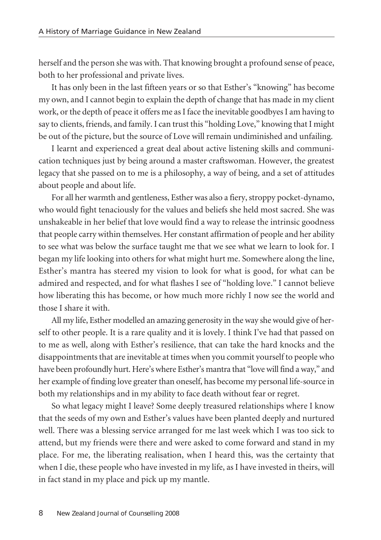herself and the person she was with. That knowing brought a profound sense of peace, both to her professional and private lives.

It has only been in the last fifteen years or so that Esther's "knowing" has become my own, and I cannot begin to explain the depth of change that has made in my client work, or the depth of peace it offers me as I face the inevitable goodbyes I am having to say to clients, friends, and family. I can trust this "holding Love," knowing that I might be out of the picture, but the source of Love will remain undiminished and unfailing.

I learnt and experienced a great deal about active listening skills and communication techniques just by being around a master craftswoman. However, the greatest legacy that she passed on to me is a philosophy, a way of being, and a set of attitudes about people and about life.

For all her warmth and gentleness, Esther was also a fiery, stroppy pocket-dynamo, who would fight tenaciously for the values and beliefs she held most sacred. She was unshakeable in her belief that love would find a way to release the intrinsic goodness that people carry within themselves. Her constant affirmation of people and her ability to see what was below the surface taught me that we see what we learn to look for. I began my life looking into others for what might hurt me. Somewhere along the line, Esther's mantra has steered my vision to look for what is good, for what can be admired and respected, and for what flashes I see of "holding love." I cannot believe how liberating this has become, or how much more richly I now see the world and those I share it with.

All my life, Esther modelled an amazing generosity in theway she would give of herself to other people. It is a rare quality and it is lovely. I think I've had that passed on to me as well, along with Esther's resilience, that can take the hard knocks and the disappointments that are inevitable at times when you commit yourself to people who have been profoundly hurt. Here's where Esther's mantra that "love will find a way," and her example of finding love greater than oneself, has become my personal life-source in both my relationships and in my ability to face death without fear or regret.

So what legacy might I leave? Some deeply treasured relationships where I know that the seeds of my own and Esther's values have been planted deeply and nurtured well. There was a blessing service arranged for me last week which I was too sick to attend, but my friends were there and were asked to come forward and stand in my place. For me, the liberating realisation, when I heard this, was the certainty that when I die, these people who have invested in my life, as I have invested in theirs, will in fact stand in my place and pick up my mantle.